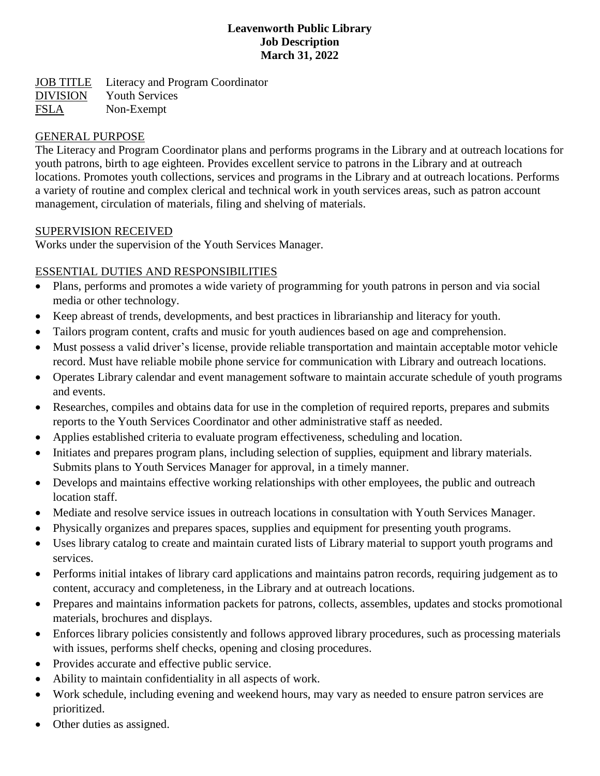#### **Leavenworth Public Library Job Description March 31, 2022**

JOB TITLE Literacy and Program Coordinator DIVISION Youth Services FSLA Non-Exempt

### GENERAL PURPOSE

The Literacy and Program Coordinator plans and performs programs in the Library and at outreach locations for youth patrons, birth to age eighteen. Provides excellent service to patrons in the Library and at outreach locations. Promotes youth collections, services and programs in the Library and at outreach locations. Performs a variety of routine and complex clerical and technical work in youth services areas, such as patron account management, circulation of materials, filing and shelving of materials.

### SUPERVISION RECEIVED

Works under the supervision of the Youth Services Manager.

### ESSENTIAL DUTIES AND RESPONSIBILITIES

- Plans, performs and promotes a wide variety of programming for youth patrons in person and via social media or other technology.
- Keep abreast of trends, developments, and best practices in librarianship and literacy for youth.
- Tailors program content, crafts and music for youth audiences based on age and comprehension.
- Must possess a valid driver's license, provide reliable transportation and maintain acceptable motor vehicle record. Must have reliable mobile phone service for communication with Library and outreach locations.
- Operates Library calendar and event management software to maintain accurate schedule of youth programs and events.
- Researches, compiles and obtains data for use in the completion of required reports, prepares and submits reports to the Youth Services Coordinator and other administrative staff as needed.
- Applies established criteria to evaluate program effectiveness, scheduling and location.
- Initiates and prepares program plans, including selection of supplies, equipment and library materials. Submits plans to Youth Services Manager for approval, in a timely manner.
- Develops and maintains effective working relationships with other employees, the public and outreach location staff.
- Mediate and resolve service issues in outreach locations in consultation with Youth Services Manager.
- Physically organizes and prepares spaces, supplies and equipment for presenting youth programs.
- Uses library catalog to create and maintain curated lists of Library material to support youth programs and services.
- Performs initial intakes of library card applications and maintains patron records, requiring judgement as to content, accuracy and completeness, in the Library and at outreach locations.
- Prepares and maintains information packets for patrons, collects, assembles, updates and stocks promotional materials, brochures and displays.
- Enforces library policies consistently and follows approved library procedures, such as processing materials with issues, performs shelf checks, opening and closing procedures.
- Provides accurate and effective public service.
- Ability to maintain confidentiality in all aspects of work.
- Work schedule, including evening and weekend hours, may vary as needed to ensure patron services are prioritized.
- Other duties as assigned.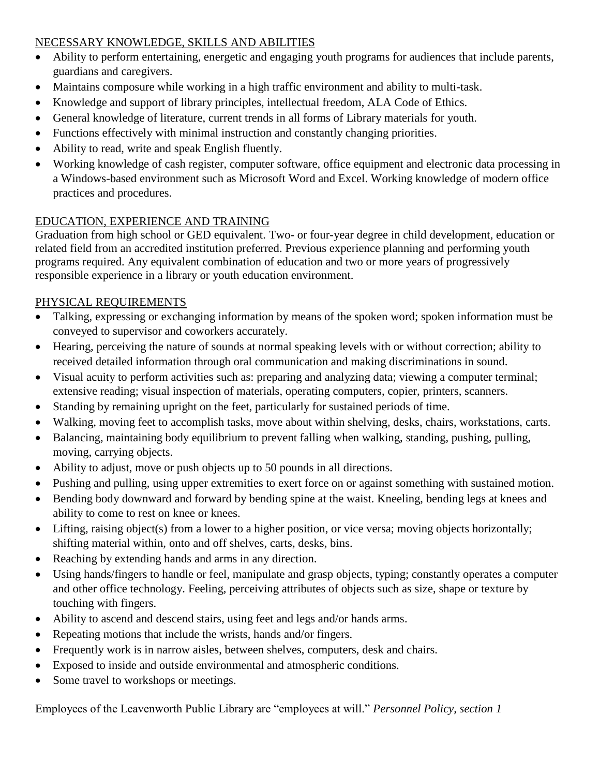# NECESSARY KNOWLEDGE, SKILLS AND ABILITIES

- Ability to perform entertaining, energetic and engaging youth programs for audiences that include parents, guardians and caregivers.
- Maintains composure while working in a high traffic environment and ability to multi-task.
- Knowledge and support of library principles, intellectual freedom, ALA Code of Ethics.
- General knowledge of literature, current trends in all forms of Library materials for youth.
- Functions effectively with minimal instruction and constantly changing priorities.
- Ability to read, write and speak English fluently.
- Working knowledge of cash register, computer software, office equipment and electronic data processing in a Windows-based environment such as Microsoft Word and Excel. Working knowledge of modern office practices and procedures.

# EDUCATION, EXPERIENCE AND TRAINING

Graduation from high school or GED equivalent. Two- or four-year degree in child development, education or related field from an accredited institution preferred. Previous experience planning and performing youth programs required. Any equivalent combination of education and two or more years of progressively responsible experience in a library or youth education environment.

## PHYSICAL REQUIREMENTS

- Talking, expressing or exchanging information by means of the spoken word; spoken information must be conveyed to supervisor and coworkers accurately.
- Hearing, perceiving the nature of sounds at normal speaking levels with or without correction; ability to received detailed information through oral communication and making discriminations in sound.
- Visual acuity to perform activities such as: preparing and analyzing data; viewing a computer terminal; extensive reading; visual inspection of materials, operating computers, copier, printers, scanners.
- Standing by remaining upright on the feet, particularly for sustained periods of time.
- Walking, moving feet to accomplish tasks, move about within shelving, desks, chairs, workstations, carts.
- Balancing, maintaining body equilibrium to prevent falling when walking, standing, pushing, pulling, moving, carrying objects.
- Ability to adjust, move or push objects up to 50 pounds in all directions.
- Pushing and pulling, using upper extremities to exert force on or against something with sustained motion.
- Bending body downward and forward by bending spine at the waist. Kneeling, bending legs at knees and ability to come to rest on knee or knees.
- Lifting, raising object(s) from a lower to a higher position, or vice versa; moving objects horizontally; shifting material within, onto and off shelves, carts, desks, bins.
- Reaching by extending hands and arms in any direction.
- Using hands/fingers to handle or feel, manipulate and grasp objects, typing; constantly operates a computer and other office technology. Feeling, perceiving attributes of objects such as size, shape or texture by touching with fingers.
- Ability to ascend and descend stairs, using feet and legs and/or hands arms.
- Repeating motions that include the wrists, hands and/or fingers.
- Frequently work is in narrow aisles, between shelves, computers, desk and chairs.
- Exposed to inside and outside environmental and atmospheric conditions.
- Some travel to workshops or meetings.

Employees of the Leavenworth Public Library are "employees at will." *Personnel Policy, section 1*